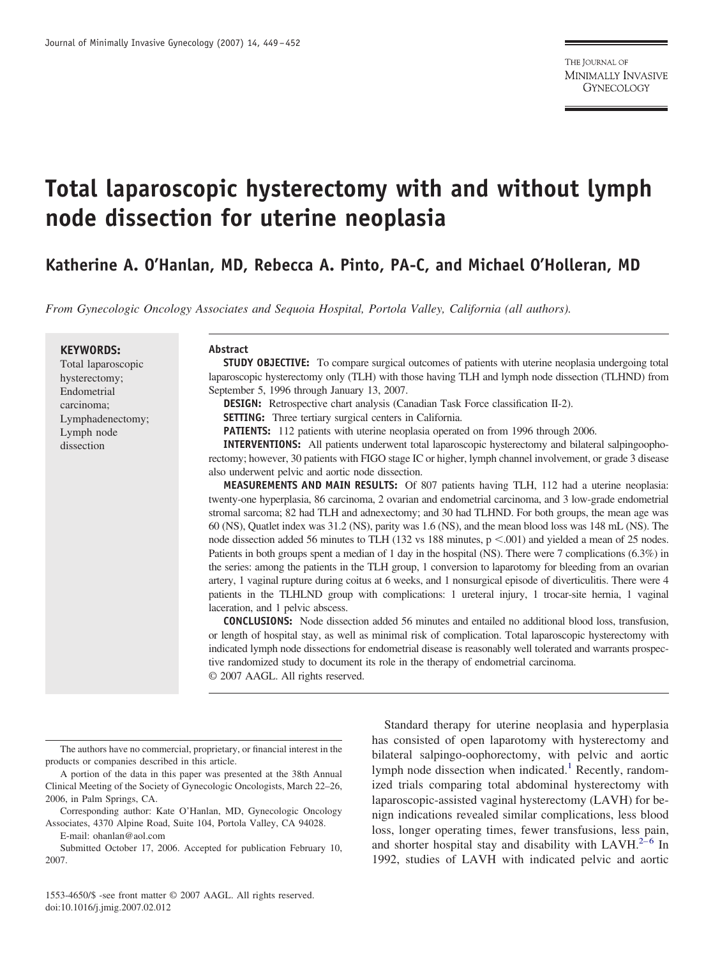# **Total laparoscopic hysterectomy with and without lymph node dissection for uterine neoplasia**

**Katherine A. O'Hanlan, MD, Rebecca A. Pinto, PA-C, and Michael O'Holleran, MD**

*From Gynecologic Oncology Associates and Sequoia Hospital, Portola Valley, California (all authors).*

#### **KEYWORDS:**

Total laparoscopic hysterectomy; Endometrial carcinoma; Lymphadenectomy; Lymph node dissection

#### **Abstract**

**STUDY OBJECTIVE:** To compare surgical outcomes of patients with uterine neoplasia undergoing total laparoscopic hysterectomy only (TLH) with those having TLH and lymph node dissection (TLHND) from September 5, 1996 through January 13, 2007.

**DESIGN:** Retrospective chart analysis (Canadian Task Force classification II-2).

**SETTING:** Three tertiary surgical centers in California.

**PATIENTS:** 112 patients with uterine neoplasia operated on from 1996 through 2006.

**INTERVENTIONS:** All patients underwent total laparoscopic hysterectomy and bilateral salpingoophorectomy; however, 30 patients with FIGO stage IC or higher, lymph channel involvement, or grade 3 disease also underwent pelvic and aortic node dissection.

**MEASUREMENTS AND MAIN RESULTS:** Of 807 patients having TLH, 112 had a uterine neoplasia: twenty-one hyperplasia, 86 carcinoma, 2 ovarian and endometrial carcinoma, and 3 low-grade endometrial stromal sarcoma; 82 had TLH and adnexectomy; and 30 had TLHND. For both groups, the mean age was 60 (NS), Quatlet index was 31.2 (NS), parity was 1.6 (NS), and the mean blood loss was 148 mL (NS). The node dissection added 56 minutes to TLH (132 vs 188 minutes,  $p < .001$ ) and yielded a mean of 25 nodes. Patients in both groups spent a median of 1 day in the hospital (NS). There were 7 complications (6.3%) in the series: among the patients in the TLH group, 1 conversion to laparotomy for bleeding from an ovarian artery, 1 vaginal rupture during coitus at 6 weeks, and 1 nonsurgical episode of diverticulitis. There were 4 patients in the TLHLND group with complications: 1 ureteral injury, 1 trocar-site hernia, 1 vaginal laceration, and 1 pelvic abscess.

**CONCLUSIONS:** Node dissection added 56 minutes and entailed no additional blood loss, transfusion, or length of hospital stay, as well as minimal risk of complication. Total laparoscopic hysterectomy with indicated lymph node dissections for endometrial disease is reasonably well tolerated and warrants prospective randomized study to document its role in the therapy of endometrial carcinoma.

© 2007 AAGL. All rights reserved.

1553-4650/\$ -see front matter © 2007 AAGL. All rights reserved. doi:10.1016/j.jmig.2007.02.012

2007.

Standard therapy for uterine neoplasia and hyperplasia has consisted of open laparotomy with hysterectomy and bilateral salpingo-oophorectomy, with pelvic and aortic lymph node dissection when indicated.<sup>[1](#page-3-0)</sup> Recently, randomized trials comparing total abdominal hysterectomy with laparoscopic-assisted vaginal hysterectomy (LAVH) for benign indications revealed similar complications, less blood loss, longer operating times, fewer transfusions, less pain, and shorter hospital stay and disability with LAVH. $2-6$  In 1992, studies of LAVH with indicated pelvic and aortic

The authors have no commercial, proprietary, or financial interest in the products or companies described in this article.

A portion of the data in this paper was presented at the 38th Annual Clinical Meeting of the Society of Gynecologic Oncologists, March 22–26, 2006, in Palm Springs, CA.

Corresponding author: Kate O'Hanlan, MD, Gynecologic Oncology Associates, 4370 Alpine Road, Suite 104, Portola Valley, CA 94028.

E-mail: ohanlan@aol.com Submitted October 17, 2006. Accepted for publication February 10,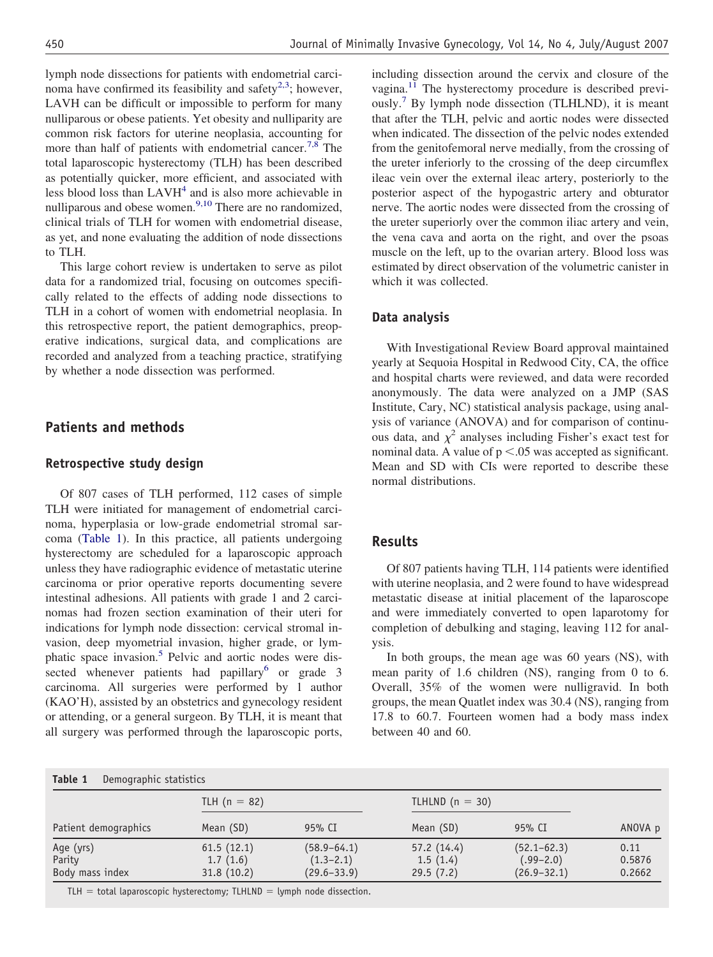lymph node dissections for patients with endometrial carcinoma have confirmed its feasibility and safety<sup>2,3</sup>; however, LAVH can be difficult or impossible to perform for many nulliparous or obese patients. Yet obesity and nulliparity are common risk factors for uterine neoplasia, accounting for more than half of patients with endometrial cancer.<sup>[7,8](#page-3-0)</sup> The total laparoscopic hysterectomy (TLH) has been described as potentially quicker, more efficient, and associated with less blood loss than LAVH<sup>[4](#page-3-0)</sup> and is also more achievable in nulliparous and obese women. $9,10$  There are no randomized, clinical trials of TLH for women with endometrial disease, as yet, and none evaluating the addition of node dissections to TLH.

This large cohort review is undertaken to serve as pilot data for a randomized trial, focusing on outcomes specifically related to the effects of adding node dissections to TLH in a cohort of women with endometrial neoplasia. In this retrospective report, the patient demographics, preoperative indications, surgical data, and complications are recorded and analyzed from a teaching practice, stratifying by whether a node dissection was performed.

# **Patients and methods**

#### **Retrospective study design**

Of 807 cases of TLH performed, 112 cases of simple TLH were initiated for management of endometrial carcinoma, hyperplasia or low-grade endometrial stromal sarcoma (Table 1). In this practice, all patients undergoing hysterectomy are scheduled for a laparoscopic approach unless they have radiographic evidence of metastatic uterine carcinoma or prior operative reports documenting severe intestinal adhesions. All patients with grade 1 and 2 carcinomas had frozen section examination of their uteri for indications for lymph node dissection: cervical stromal invasion, deep myometrial invasion, higher grade, or lym-phatic space invasion.<sup>[5](#page-3-0)</sup> Pelvic and aortic nodes were dis-sected whenever patients had papillary<sup>[6](#page-3-0)</sup> or grade 3 carcinoma. All surgeries were performed by 1 author (KAO'H), assisted by an obstetrics and gynecology resident or attending, or a general surgeon. By TLH, it is meant that all surgery was performed through the laparoscopic ports,

including dissection around the cervix and closure of the vagina.[11](#page-3-0) The hysterectomy procedure is described previ-ously.<sup>[7](#page-3-0)</sup> By lymph node dissection (TLHLND), it is meant that after the TLH, pelvic and aortic nodes were dissected when indicated. The dissection of the pelvic nodes extended from the genitofemoral nerve medially, from the crossing of the ureter inferiorly to the crossing of the deep circumflex ileac vein over the external ileac artery, posteriorly to the posterior aspect of the hypogastric artery and obturator nerve. The aortic nodes were dissected from the crossing of the ureter superiorly over the common iliac artery and vein, the vena cava and aorta on the right, and over the psoas muscle on the left, up to the ovarian artery. Blood loss was estimated by direct observation of the volumetric canister in which it was collected.

#### **Data analysis**

With Investigational Review Board approval maintained yearly at Sequoia Hospital in Redwood City, CA, the office and hospital charts were reviewed, and data were recorded anonymously. The data were analyzed on a JMP (SAS Institute, Cary, NC) statistical analysis package, using analysis of variance (ANOVA) and for comparison of continuous data, and  $\chi^2$  analyses including Fisher's exact test for nominal data. A value of  $p < 0.05$  was accepted as significant. Mean and SD with CIs were reported to describe these normal distributions.

### **Results**

Of 807 patients having TLH, 114 patients were identified with uterine neoplasia, and 2 were found to have widespread metastatic disease at initial placement of the laparoscope and were immediately converted to open laparotomy for completion of debulking and staging, leaving 112 for analysis.

In both groups, the mean age was 60 years (NS), with mean parity of 1.6 children (NS), ranging from 0 to 6. Overall, 35% of the women were nulligravid. In both groups, the mean Quatlet index was 30.4 (NS), ranging from 17.8 to 60.7. Fourteen women had a body mass index between 40 and 60.

#### **Table 1** Demographic statistics

| $1001C_1$<br><b>DUITOGRAPHIC SCALISLICS</b> |                |                 |                   |                 |         |  |  |  |
|---------------------------------------------|----------------|-----------------|-------------------|-----------------|---------|--|--|--|
| Patient demographics                        | TLH $(n = 82)$ |                 | TLHLND $(n = 30)$ |                 |         |  |  |  |
|                                             | Mean (SD)      | 95% CI          | Mean (SD)         | 95% CI          | ANOVA p |  |  |  |
| Age (yrs)                                   | 61.5(12.1)     | $(58.9 - 64.1)$ | 57.2(14.4)        | $(52.1 - 62.3)$ | 0.11    |  |  |  |
| Parity                                      | 1.7(1.6)       | $(1.3 - 2.1)$   | 1.5(1.4)          | $(.99 - 2.0)$   | 0.5876  |  |  |  |
| Body mass index                             | 31.8(10.2)     | $(29.6 - 33.9)$ | 29.5(7.2)         | $(26.9 - 32.1)$ | 0.2662  |  |  |  |

 $TLH = total$  laparoscopic hysterectomy;  $TLHLD =$  lymph node dissection.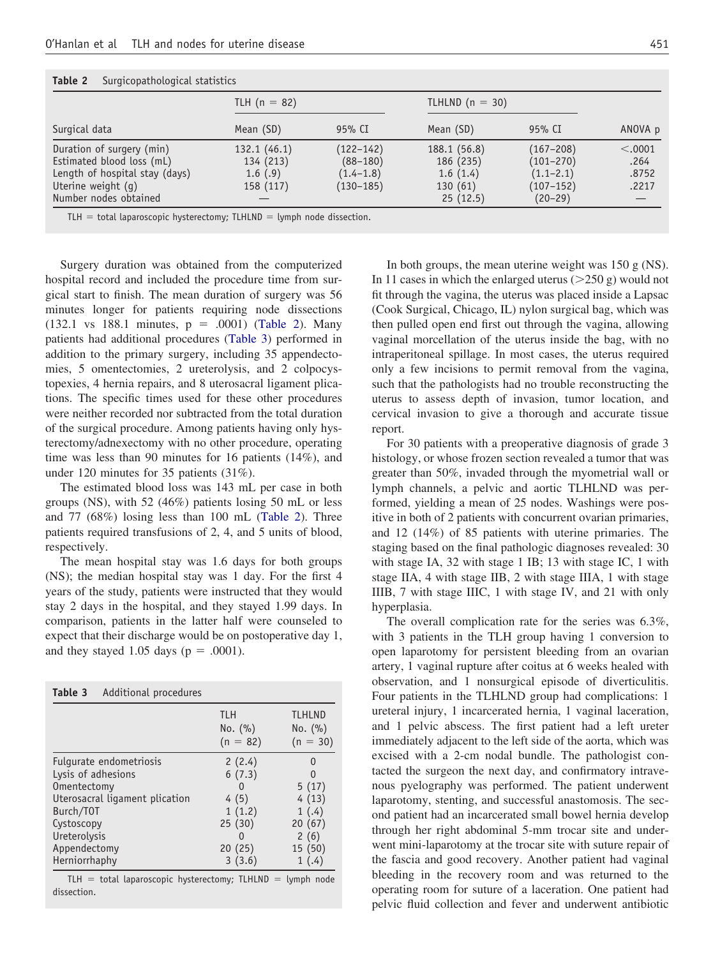| Table 2<br>Surgicopatriological statistics |                |               |                   |               |         |  |  |  |  |
|--------------------------------------------|----------------|---------------|-------------------|---------------|---------|--|--|--|--|
|                                            | TLH $(n = 82)$ |               | TLHLND $(n = 30)$ |               |         |  |  |  |  |
| Surgical data                              | Mean (SD)      | 95% CI        | Mean (SD)         | 95% CI        | ANOVA p |  |  |  |  |
| Duration of surgery (min)                  | 132.1(46.1)    | $(122 - 142)$ | 188.1 (56.8)      | $(167 - 208)$ | < .0001 |  |  |  |  |
| Estimated blood loss (mL)                  | 134 (213)      | $(88 - 180)$  | 186 (235)         | $(101 - 270)$ | .264    |  |  |  |  |
| Length of hospital stay (days)             | 1.6(.9)        | $(1.4 - 1.8)$ | 1.6(1.4)          | $(1.1 - 2.1)$ | .8752   |  |  |  |  |
| Uterine weight (q)                         | 158 (117)      | $(130 - 185)$ | 130(61)           | $(107 - 152)$ | .2217   |  |  |  |  |
| Number nodes obtained                      |                |               | 25(12.5)          | $(20-29)$     |         |  |  |  |  |

**Table 2** Surgicopathological statistics

 $TLH = total$  laparoscopic hysterectomy;  $TLHLD =$  lymph node dissection.

Surgery duration was obtained from the computerized hospital record and included the procedure time from surgical start to finish. The mean duration of surgery was 56 minutes longer for patients requiring node dissections  $(132.1 \text{ vs } 188.1 \text{ minutes}, p = .0001)$  (Table 2). Many patients had additional procedures (Table 3) performed in addition to the primary surgery, including 35 appendectomies, 5 omentectomies, 2 ureterolysis, and 2 colpocystopexies, 4 hernia repairs, and 8 uterosacral ligament plications. The specific times used for these other procedures were neither recorded nor subtracted from the total duration of the surgical procedure. Among patients having only hysterectomy/adnexectomy with no other procedure, operating time was less than 90 minutes for 16 patients (14%), and under 120 minutes for 35 patients (31%).

The estimated blood loss was 143 mL per case in both groups (NS), with 52 (46%) patients losing 50 mL or less and 77 (68%) losing less than 100 mL (Table 2). Three patients required transfusions of 2, 4, and 5 units of blood, respectively.

The mean hospital stay was 1.6 days for both groups (NS); the median hospital stay was 1 day. For the first 4 years of the study, patients were instructed that they would stay 2 days in the hospital, and they stayed 1.99 days. In comparison, patients in the latter half were counseled to expect that their discharge would be on postoperative day 1, and they stayed 1.05 days ( $p = .0001$ ).

| <b>TLH</b><br>No. $(\% )$<br>$(n = 82)$<br>Fulgurate endometriosis<br>2(2.4)<br>$\mathbf{\Omega}$<br>Lysis of adhesions<br>6(7.3)<br>Omentectomy<br>O<br>Uterosacral ligament plication<br>4(5)<br>1(1.2)<br>Burch/T0T | Table 3<br>Additional procedures |        |                                                               |
|------------------------------------------------------------------------------------------------------------------------------------------------------------------------------------------------------------------------|----------------------------------|--------|---------------------------------------------------------------|
|                                                                                                                                                                                                                        |                                  |        | <b>TLHLND</b><br>No. (%)<br>$(n = 30)$                        |
| Ureterolysis<br>$\Omega$<br>Appendectomy<br>20(25)<br>Herniorrhaphy<br>3(3.6)                                                                                                                                          | Cystoscopy                       | 25(30) | 5(17)<br>4(13)<br>1(.4)<br>20(67)<br>2(6)<br>15 (50)<br>1(.4) |

 $TLH = total$  laparoscopic hysterectomy;  $TLHLD =$  lymph node dissection.

In both groups, the mean uterine weight was 150 g (NS). In 11 cases in which the enlarged uterus  $(>250 \text{ g})$  would not fit through the vagina, the uterus was placed inside a Lapsac (Cook Surgical, Chicago, IL) nylon surgical bag, which was then pulled open end first out through the vagina, allowing vaginal morcellation of the uterus inside the bag, with no intraperitoneal spillage. In most cases, the uterus required only a few incisions to permit removal from the vagina, such that the pathologists had no trouble reconstructing the uterus to assess depth of invasion, tumor location, and cervical invasion to give a thorough and accurate tissue report.

For 30 patients with a preoperative diagnosis of grade 3 histology, or whose frozen section revealed a tumor that was greater than 50%, invaded through the myometrial wall or lymph channels, a pelvic and aortic TLHLND was performed, yielding a mean of 25 nodes. Washings were positive in both of 2 patients with concurrent ovarian primaries, and 12 (14%) of 85 patients with uterine primaries. The staging based on the final pathologic diagnoses revealed: 30 with stage IA, 32 with stage 1 IB; 13 with stage IC, 1 with stage IIA, 4 with stage IIB, 2 with stage IIIA, 1 with stage IIIB, 7 with stage IIIC, 1 with stage IV, and 21 with only hyperplasia.

The overall complication rate for the series was 6.3%, with 3 patients in the TLH group having 1 conversion to open laparotomy for persistent bleeding from an ovarian artery, 1 vaginal rupture after coitus at 6 weeks healed with observation, and 1 nonsurgical episode of diverticulitis. Four patients in the TLHLND group had complications: 1 ureteral injury, 1 incarcerated hernia, 1 vaginal laceration, and 1 pelvic abscess. The first patient had a left ureter immediately adjacent to the left side of the aorta, which was excised with a 2-cm nodal bundle. The pathologist contacted the surgeon the next day, and confirmatory intravenous pyelography was performed. The patient underwent laparotomy, stenting, and successful anastomosis. The second patient had an incarcerated small bowel hernia develop through her right abdominal 5-mm trocar site and underwent mini-laparotomy at the trocar site with suture repair of the fascia and good recovery. Another patient had vaginal bleeding in the recovery room and was returned to the operating room for suture of a laceration. One patient had pelvic fluid collection and fever and underwent antibiotic